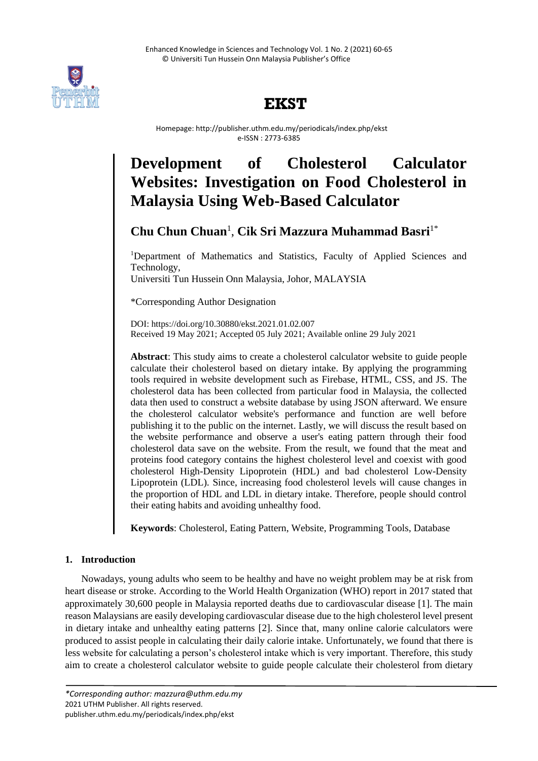

# **EKST**

 Homepage: http://publisher.uthm.edu.my/periodicals/index.php/ekst e-ISSN : 2773-6385

# **Development of Cholesterol Calculator Websites: Investigation on Food Cholesterol in Malaysia Using Web-Based Calculator**

# **Chu Chun Chuan**<sup>1</sup> , **Cik Sri Mazzura Muhammad Basri**1\*

<sup>1</sup>Department of Mathematics and Statistics, Faculty of Applied Sciences and Technology, Universiti Tun Hussein Onn Malaysia, Johor, MALAYSIA

\*Corresponding Author Designation

DOI: https://doi.org/10.30880/ekst.2021.01.02.007 Received 19 May 2021; Accepted 05 July 2021; Available online 29 July 2021

**Abstract**: This study aims to create a cholesterol calculator website to guide people calculate their cholesterol based on dietary intake. By applying the programming tools required in website development such as Firebase, HTML, CSS, and JS. The cholesterol data has been collected from particular food in Malaysia, the collected data then used to construct a website database by using JSON afterward. We ensure the cholesterol calculator website's performance and function are well before publishing it to the public on the internet. Lastly, we will discuss the result based on the website performance and observe a user's eating pattern through their food cholesterol data save on the website. From the result, we found that the meat and proteins food category contains the highest cholesterol level and coexist with good cholesterol High-Density Lipoprotein (HDL) and bad cholesterol Low-Density Lipoprotein (LDL). Since, increasing food cholesterol levels will cause changes in the proportion of HDL and LDL in dietary intake. Therefore, people should control their eating habits and avoiding unhealthy food.

**Keywords**: Cholesterol, Eating Pattern, Website, Programming Tools, Database

# **1. Introduction**

Nowadays, young adults who seem to be healthy and have no weight problem may be at risk from heart disease or stroke. According to the World Health Organization (WHO) report in 2017 stated that approximately 30,600 people in Malaysia reported deaths due to cardiovascular disease [1]. The main reason Malaysians are easily developing cardiovascular disease due to the high cholesterol level present in dietary intake and unhealthy eating patterns [2]. Since that, many online calorie calculators were produced to assist people in calculating their daily calorie intake. Unfortunately, we found that there is less website for calculating a person's cholesterol intake which is very important. Therefore, this study aim to create a cholesterol calculator website to guide people calculate their cholesterol from dietary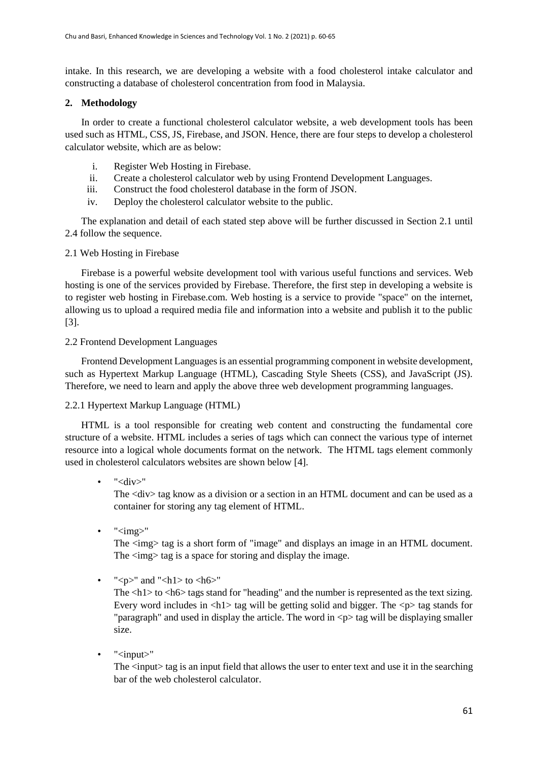intake. In this research, we are developing a website with a food cholesterol intake calculator and constructing a database of cholesterol concentration from food in Malaysia.

## **2. Methodology**

In order to create a functional cholesterol calculator website, a web development tools has been used such as HTML, CSS, JS, Firebase, and JSON. Hence, there are four steps to develop a cholesterol calculator website, which are as below:

- i. Register Web Hosting in Firebase.
- ii. Create a cholesterol calculator web by using Frontend Development Languages.
- iii. Construct the food cholesterol database in the form of JSON.
- iv. Deploy the cholesterol calculator website to the public.

The explanation and detail of each stated step above will be further discussed in Section 2.1 until 2.4 follow the sequence.

## 2.1 Web Hosting in Firebase

Firebase is a powerful website development tool with various useful functions and services. Web hosting is one of the services provided by Firebase. Therefore, the first step in developing a website is to register web hosting in Firebase.com. Web hosting is a service to provide "space" on the internet, allowing us to upload a required media file and information into a website and publish it to the public [3].

## 2.2 Frontend Development Languages

Frontend Development Languages is an essential programming component in website development, such as Hypertext Markup Language (HTML), Cascading Style Sheets (CSS), and JavaScript (JS). Therefore, we need to learn and apply the above three web development programming languages.

# 2.2.1 Hypertext Markup Language (HTML)

HTML is a tool responsible for creating web content and constructing the fundamental core structure of a website. HTML includes a series of tags which can connect the various type of internet resource into a logical whole documents format on the network. The HTML tags element commonly used in cholesterol calculators websites are shown below [4].

"<div>"

The <div> tag know as a division or a section in an HTML document and can be used as a container for storing any tag element of HTML.

 $\cdot$  " $\langle$ img $\rangle$ "

The  $\langle$ img $>$  tag is a short form of "image" and displays an image in an HTML document. The  $\langle$ img $>$  tag is a space for storing and display the image.

" $\langle p \rangle$ " and " $\langle h1 \rangle$  to  $\langle h6 \rangle$ "

The  $\langle h1 \rangle$  to  $\langle h6 \rangle$  tags stand for "heading" and the number is represented as the text sizing. Every word includes in  $\langle h|$  tag will be getting solid and bigger. The  $\langle p \rangle$  tag stands for "paragraph" and used in display the article. The word in  $\langle p \rangle$  tag will be displaying smaller size.

• "<input>"

The  $\langle$ input $\rangle$  tag is an input field that allows the user to enter text and use it in the searching bar of the web cholesterol calculator.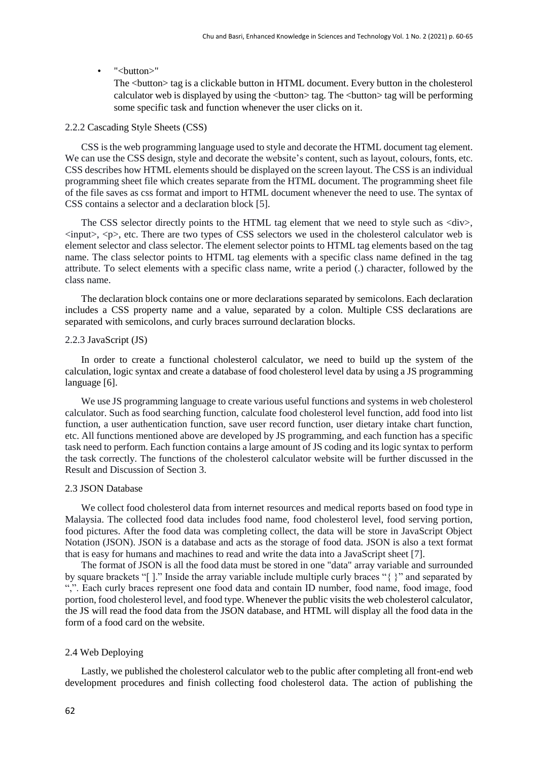#### $\bullet$  "<br/>button>"

The <br/>button> tag is a clickable button in HTML document. Every button in the cholesterol calculator web is displayed by using the  $\langle$ button $\rangle$  tag. The  $\langle$ button $\rangle$  tag will be performing some specific task and function whenever the user clicks on it.

#### 2.2.2 Cascading Style Sheets (CSS)

CSS is the web programming language used to style and decorate the HTML document tag element. We can use the CSS design, style and decorate the website's content, such as layout, colours, fonts, etc. CSS describes how HTML elements should be displayed on the screen layout. The CSS is an individual programming sheet file which creates separate from the HTML document. The programming sheet file of the file saves as css format and import to HTML document whenever the need to use. The syntax of CSS contains a selector and a declaration block [5].

The CSS selector directly points to the HTML tag element that we need to style such as <div>,  $\langle \text{input}\rangle$ ,  $\langle \text{p}\rangle$ , etc. There are two types of CSS selectors we used in the cholesterol calculator web is element selector and class selector. The element selector points to HTML tag elements based on the tag name. The class selector points to HTML tag elements with a specific class name defined in the tag attribute. To select elements with a specific class name, write a period (.) character, followed by the class name.

The declaration block contains one or more declarations separated by semicolons. Each declaration includes a CSS property name and a value, separated by a colon. Multiple CSS declarations are separated with semicolons, and curly braces surround declaration blocks.

#### 2.2.3 JavaScript (JS)

In order to create a functional cholesterol calculator, we need to build up the system of the calculation, logic syntax and create a database of food cholesterol level data by using a JS programming language [6].

We use JS programming language to create various useful functions and systems in web cholesterol calculator. Such as food searching function, calculate food cholesterol level function, add food into list function, a user authentication function, save user record function, user dietary intake chart function, etc. All functions mentioned above are developed by JS programming, and each function has a specific task need to perform. Each function contains a large amount of JS coding and its logic syntax to perform the task correctly. The functions of the cholesterol calculator website will be further discussed in the Result and Discussion of Section 3.

#### 2.3 JSON Database

We collect food cholesterol data from internet resources and medical reports based on food type in Malaysia. The collected food data includes food name, food cholesterol level, food serving portion, food pictures. After the food data was completing collect, the data will be store in JavaScript Object Notation (JSON). JSON is a database and acts as the storage of food data. JSON is also a text format that is easy for humans and machines to read and write the data into a JavaScript sheet [7].

The format of JSON is all the food data must be stored in one "data" array variable and surrounded by square brackets "[ ]." Inside the array variable include multiple curly braces "{ }" and separated by ",". Each curly braces represent one food data and contain ID number, food name, food image, food portion, food cholesterol level, and food type. Whenever the public visits the web cholesterol calculator, the JS will read the food data from the JSON database, and HTML will display all the food data in the form of a food card on the website.

#### 2.4 Web Deploying

Lastly, we published the cholesterol calculator web to the public after completing all front-end web development procedures and finish collecting food cholesterol data. The action of publishing the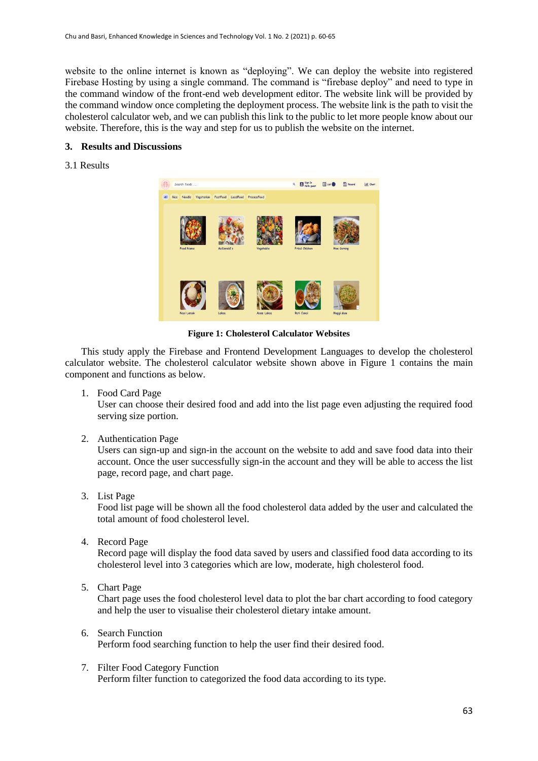website to the online internet is known as "deploying". We can deploy the website into registered Firebase Hosting by using a single command. The command is "firebase deploy" and need to type in the command window of the front-end web development editor. The website link will be provided by the command window once completing the deployment process. The website link is the path to visit the cholesterol calculator web, and we can publish this link to the public to let more people know about our website. Therefore, this is the way and step for us to publish the website on the internet.

#### **3. Results and Discussions**

#### 3.1 Results



**Figure 1: Cholesterol Calculator Websites**

This study apply the Firebase and Frontend Development Languages to develop the cholesterol calculator website. The cholesterol calculator website shown above in Figure 1 contains the main component and functions as below.

1. Food Card Page

User can choose their desired food and add into the list page even adjusting the required food serving size portion.

2. Authentication Page

Users can sign-up and sign-in the account on the website to add and save food data into their account. Once the user successfully sign-in the account and they will be able to access the list page, record page, and chart page.

3. List Page

Food list page will be shown all the food cholesterol data added by the user and calculated the total amount of food cholesterol level.

4. Record Page

Record page will display the food data saved by users and classified food data according to its cholesterol level into 3 categories which are low, moderate, high cholesterol food.

5. Chart Page

Chart page uses the food cholesterol level data to plot the bar chart according to food category and help the user to visualise their cholesterol dietary intake amount.

- 6. Search Function Perform food searching function to help the user find their desired food.
- 7. Filter Food Category Function Perform filter function to categorized the food data according to its type.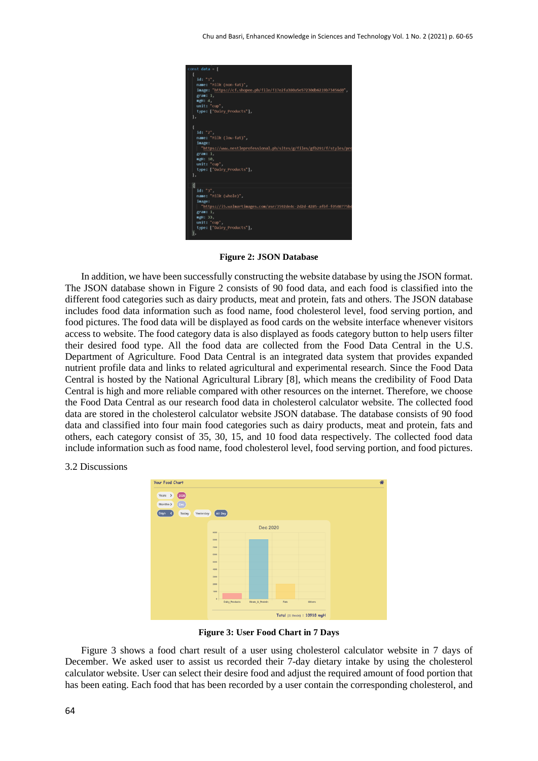

**Figure 2: JSON Database**

In addition, we have been successfully constructing the website database by using the JSON format. The JSON database shown in Figure 2 consists of 90 food data, and each food is classified into the different food categories such as dairy products, meat and protein, fats and others. The JSON database includes food data information such as food name, food cholesterol level, food serving portion, and food pictures. The food data will be displayed as food cards on the website interface whenever visitors access to website. The food category data is also displayed as foods category button to help users filter their desired food type. All the food data are collected from the Food Data Central in the U.S. Department of Agriculture. Food Data Central is an integrated data system that provides expanded nutrient profile data and links to related agricultural and experimental research. Since the Food Data Central is hosted by the National Agricultural Library [8], which means the credibility of Food Data Central is high and more reliable compared with other resources on the internet. Therefore, we choose the Food Data Central as our research food data in cholesterol calculator website. The collected food data are stored in the cholesterol calculator website JSON database. The database consists of 90 food data and classified into four main food categories such as dairy products, meat and protein, fats and others, each category consist of 35, 30, 15, and 10 food data respectively. The collected food data include information such as food name, food cholesterol level, food serving portion, and food pictures.

3.2 Discussions



**Figure 3: User Food Chart in 7 Days**

Figure 3 shows a food chart result of a user using cholesterol calculator website in 7 days of December. We asked user to assist us recorded their 7-day dietary intake by using the cholesterol calculator website. User can select their desire food and adjust the required amount of food portion that has been eating. Each food that has been recorded by a user contain the corresponding cholesterol, and